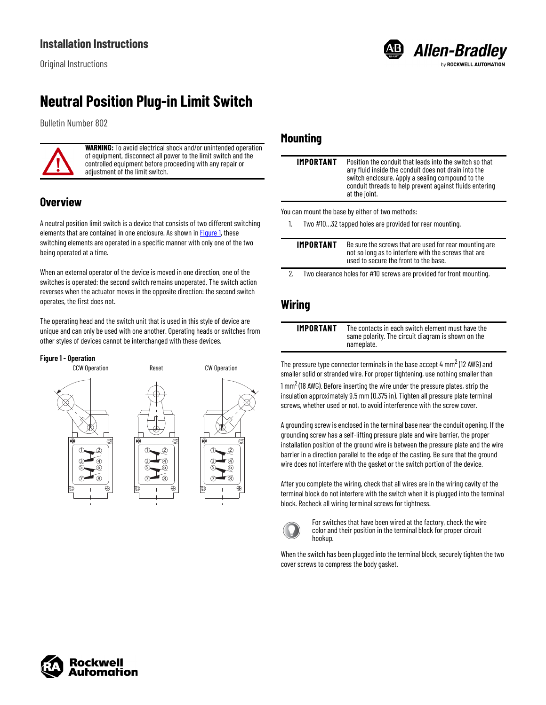## **Neutral Position Plug-in Limit Switch**

Bulletin Number 802



**WARNING:** To avoid electrical shock and/or unintended operation of equipment, disconnect all power to the limit switch and the controlled equipment before proceeding with any repair or adjustment of the limit switch.

### **Overview**

A neutral position limit switch is a device that consists of two different switching elements that are contained in one enclosure. As shown in [Figure 1,](#page-0-0) these switching elements are operated in a specific manner with only one of the two being operated at a time.

When an external operator of the device is moved in one direction, one of the switches is operated: the second switch remains unoperated. The switch action reverses when the actuator moves in the opposite direction: the second switch operates, the first does not.

The operating head and the switch unit that is used in this style of device are unique and can only be used with one another. Operating heads or switches from other styles of devices cannot be interchanged with these devices.

### <span id="page-0-0"></span>**Figure 1 - Operation**



### **Mounting**

| IMPORTANT | Position the conduit that leads into the switch so that<br>any fluid inside the conduit does not drain into the<br>switch enclosure. Apply a sealing compound to the<br>conduit threads to help prevent against fluids entering<br>at the joint. |
|-----------|--------------------------------------------------------------------------------------------------------------------------------------------------------------------------------------------------------------------------------------------------|
|           | You can mount the base by either of two methods:                                                                                                                                                                                                 |
|           | Two #1032 tapped holes are provided for rear mounting.                                                                                                                                                                                           |

**Allen-Bradley** 

**ROCKWELL AUTOMATION** 

| IMPORTANT | Be sure the screws that are used for rear mounting are<br>not so long as to interfere with the screws that are<br>used to secure the front to the base. |
|-----------|---------------------------------------------------------------------------------------------------------------------------------------------------------|
|           |                                                                                                                                                         |

2. Two clearance holes for #10 screws are provided for front mounting.

### **Wiring**

| IMPORTANT | Тh  |
|-----------|-----|
|           | sai |
|           | ∩ם  |

**e** contacts in each switch element must have the me polarity. The circuit diagram is shown on the nameplate.

The pressure type connector terminals in the base accept 4  $\mathsf{mm}^2$  (12 AWG) and smaller solid or stranded wire. For proper tightening, use nothing smaller than  $1 \text{ mm}^2$  (18 AWG). Before inserting the wire under the pressure plates, strip the insulation approximately 9.5 mm (0.375 in). Tighten all pressure plate terminal screws, whether used or not, to avoid interference with the screw cover.

A grounding screw is enclosed in the terminal base near the conduit opening. If the grounding screw has a self-lifting pressure plate and wire barrier, the proper installation position of the ground wire is between the pressure plate and the wire barrier in a direction parallel to the edge of the casting. Be sure that the ground wire does not interfere with the gasket or the switch portion of the device.

After you complete the wiring, check that all wires are in the wiring cavity of the terminal block do not interfere with the switch when it is plugged into the terminal block. Recheck all wiring terminal screws for tightness.



For switches that have been wired at the factory, check the wire color and their position in the terminal block for proper circuit hookup.

When the switch has been plugged into the terminal block, securely tighten the two cover screws to compress the body gasket.